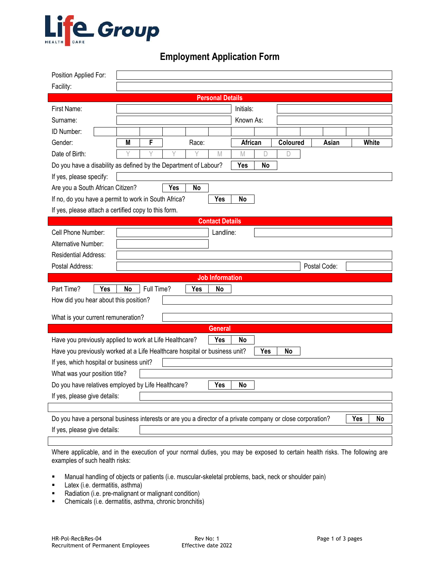

## **Employment Application Form**

| Position Applied For:                                                                                                   |           |            |     |            |                        |                |    |          |  |              |  |       |
|-------------------------------------------------------------------------------------------------------------------------|-----------|------------|-----|------------|------------------------|----------------|----|----------|--|--------------|--|-------|
| Facility:                                                                                                               |           |            |     |            |                        |                |    |          |  |              |  |       |
| <b>Personal Details</b>                                                                                                 |           |            |     |            |                        |                |    |          |  |              |  |       |
| First Name:                                                                                                             |           |            |     |            |                        | Initials:      |    |          |  |              |  |       |
| Surname:                                                                                                                |           |            |     |            | Known As:              |                |    |          |  |              |  |       |
| ID Number:                                                                                                              |           |            |     |            |                        |                |    |          |  |              |  |       |
| Gender:                                                                                                                 | М         | F          |     | Race:      |                        | <b>African</b> |    | Coloured |  | Asian        |  | White |
| Date of Birth:                                                                                                          |           | Y          | ٧   |            | $\mathbb M$            | $\mathbb M$    | D  | D        |  |              |  |       |
| Do you have a disability as defined by the Department of Labour?                                                        |           |            |     |            |                        | Yes            | No |          |  |              |  |       |
| If yes, please specify:                                                                                                 |           |            |     |            |                        |                |    |          |  |              |  |       |
| Are you a South African Citizen?                                                                                        |           |            | Yes | No         |                        |                |    |          |  |              |  |       |
| If no, do you have a permit to work in South Africa?                                                                    |           |            |     |            | Yes                    | <b>No</b>      |    |          |  |              |  |       |
| If yes, please attach a certified copy to this form.                                                                    |           |            |     |            |                        |                |    |          |  |              |  |       |
|                                                                                                                         |           |            |     |            | <b>Contact Details</b> |                |    |          |  |              |  |       |
| Cell Phone Number:                                                                                                      |           |            |     |            | Landline:              |                |    |          |  |              |  |       |
| Alternative Number:                                                                                                     |           |            |     |            |                        |                |    |          |  |              |  |       |
| <b>Residential Address:</b>                                                                                             |           |            |     |            |                        |                |    |          |  |              |  |       |
| Postal Address:                                                                                                         |           |            |     |            |                        |                |    |          |  | Postal Code: |  |       |
|                                                                                                                         |           |            |     |            | <b>Job Information</b> |                |    |          |  |              |  |       |
| Yes<br>Part Time?                                                                                                       | <b>No</b> | Full Time? |     | <b>Yes</b> | No                     |                |    |          |  |              |  |       |
| How did you hear about this position?                                                                                   |           |            |     |            |                        |                |    |          |  |              |  |       |
|                                                                                                                         |           |            |     |            |                        |                |    |          |  |              |  |       |
| What is your current remuneration?                                                                                      |           |            |     |            |                        |                |    |          |  |              |  |       |
|                                                                                                                         |           |            |     |            | <b>General</b>         |                |    |          |  |              |  |       |
| Have you previously applied to work at Life Healthcare?                                                                 |           |            |     |            | Yes                    | No             |    |          |  |              |  |       |
| <b>Yes</b><br>Have you previously worked at a Life Healthcare hospital or business unit?<br>No                          |           |            |     |            |                        |                |    |          |  |              |  |       |
| If yes, which hospital or business unit?                                                                                |           |            |     |            |                        |                |    |          |  |              |  |       |
| What was your position title?                                                                                           |           |            |     |            |                        |                |    |          |  |              |  |       |
| Do you have relatives employed by Life Healthcare?<br>Yes<br>No                                                         |           |            |     |            |                        |                |    |          |  |              |  |       |
| If yes, please give details:                                                                                            |           |            |     |            |                        |                |    |          |  |              |  |       |
|                                                                                                                         |           |            |     |            |                        |                |    |          |  |              |  |       |
| Do you have a personal business interests or are you a director of a private company or close corporation?<br>Yes<br>No |           |            |     |            |                        |                |    |          |  |              |  |       |
| If yes, please give details:                                                                                            |           |            |     |            |                        |                |    |          |  |              |  |       |
|                                                                                                                         |           |            |     |            |                        |                |    |          |  |              |  |       |

Where applicable, and in the execution of your normal duties, you may be exposed to certain health risks. The following are examples of such health risks:

- Manual handling of objects or patients (i.e. muscular-skeletal problems, back, neck or shoulder pain)
- **Latex** (i.e. dermatitis, asthma)
- **Radiation (i.e. pre-malignant or malignant condition)**
- Chemicals (i.e. dermatitis, asthma, chronic bronchitis)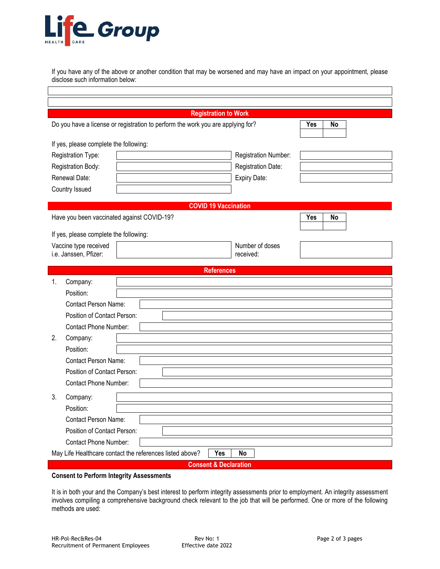

If you have any of the above or another condition that may be worsened and may have an impact on your appointment, please disclose such information below:

|                                                                                 | <b>Registration to Work</b>      |           |
|---------------------------------------------------------------------------------|----------------------------------|-----------|
| Do you have a license or registration to perform the work you are applying for? | Yes                              | <b>No</b> |
|                                                                                 |                                  |           |
| If yes, please complete the following:                                          |                                  |           |
| Registration Type:                                                              | Registration Number:             |           |
| Registration Body:                                                              | Registration Date:               |           |
| Renewal Date:                                                                   | Expiry Date:                     |           |
| Country Issued                                                                  |                                  |           |
|                                                                                 | <b>COVID 19 Vaccination</b>      |           |
| Have you been vaccinated against COVID-19?                                      | <b>Yes</b>                       | <b>No</b> |
|                                                                                 |                                  |           |
| If yes, please complete the following:<br>Vaccine type received                 | Number of doses                  |           |
| i.e. Janssen, Pfizer:                                                           | received:                        |           |
|                                                                                 |                                  |           |
| 1.<br>Company:                                                                  | <b>References</b>                |           |
| Position:                                                                       |                                  |           |
| <b>Contact Person Name:</b>                                                     |                                  |           |
| Position of Contact Person:                                                     |                                  |           |
| <b>Contact Phone Number:</b>                                                    |                                  |           |
| 2.<br>Company:                                                                  |                                  |           |
| Position:                                                                       |                                  |           |
| <b>Contact Person Name:</b>                                                     |                                  |           |
| Position of Contact Person:                                                     |                                  |           |
| <b>Contact Phone Number:</b>                                                    |                                  |           |
| 3.<br>Company:                                                                  |                                  |           |
| Position:                                                                       |                                  |           |
| Contact Person Name:                                                            |                                  |           |
| Position of Contact Person:                                                     |                                  |           |
| <b>Contact Phone Number:</b>                                                    |                                  |           |
| May Life Healthcare contact the references listed above?                        | Yes<br>No                        |           |
|                                                                                 | <b>Consent &amp; Declaration</b> |           |

**Consent to Perform Integrity Assessments**

It is in both your and the Company's best interest to perform integrity assessments prior to employment. An integrity assessment involves compiling a comprehensive background check relevant to the job that will be performed. One or more of the following methods are used: